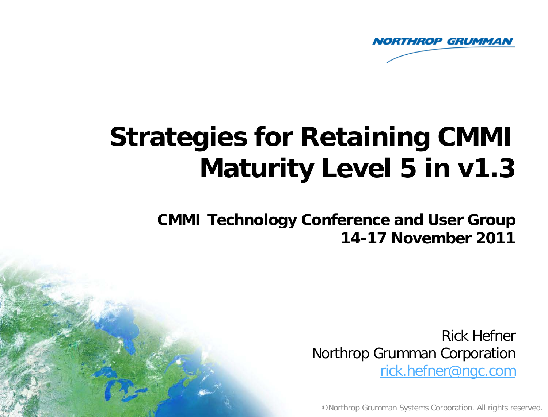

# **Strategies for Retaining CMMI Maturity Level 5 in v1.3**

**CMMI Technology Conference and User Group 14-17 November 2011** 

> Rick Hefner Northrop Grumman Corporation [rick.hefner@ngc.com](mailto:rick.hefner@ngc.com)

©Northrop Grumman Systems Corporation. All rights reserved.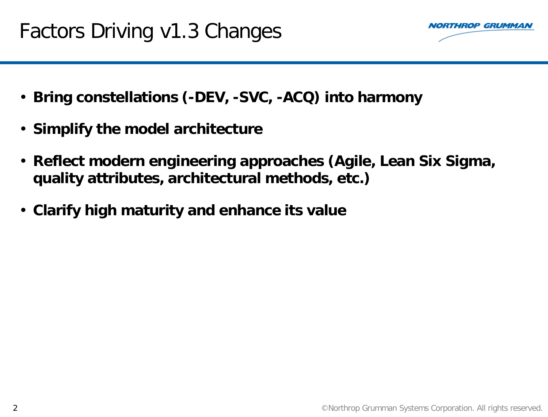# Factors Driving v1.3 Changes



- **Bring constellations (-DEV, -SVC, -ACQ) into harmony**
- **Simplify the model architecture**
- **Reflect modern engineering approaches (Agile, Lean Six Sigma, quality attributes, architectural methods, etc.)**
- **Clarify high maturity and enhance its value**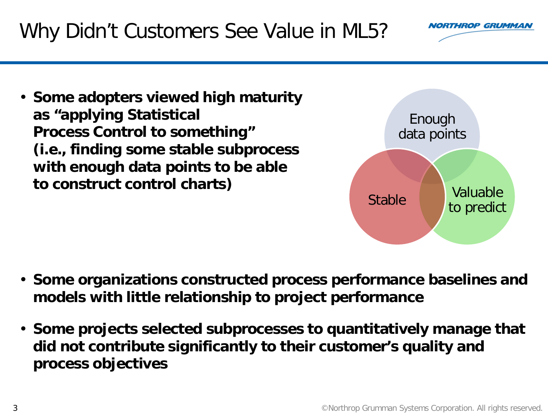Why Didn't Customers See Value in ML5?

• **Some adopters viewed high maturity as "applying Statistical Process Control to something" (i.e., finding some stable subprocess with enough data points to be able to construct control charts)**

- **Some organizations constructed process performance baselines and models with little relationship to project performance**
- **Some projects selected subprocesses to quantitatively manage that did not contribute significantly to their customer's quality and process objectives**



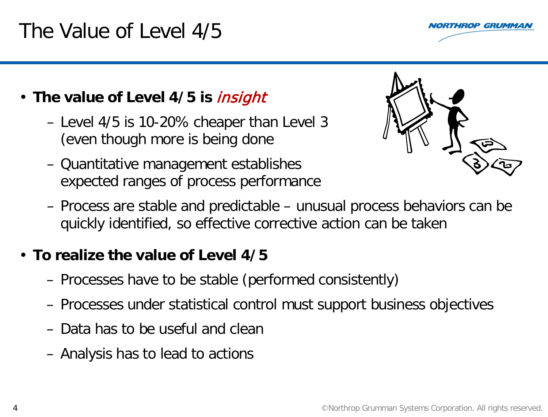# The Value of Level 4/5



# • **The value of Level 4/5 is** insight

- Level 4/5 is 10-20% cheaper than Level 3 (even though more is being done
- Quantitative management establishes expected ranges of process performance



– Process are stable and predictable – unusual process behaviors can be quickly identified, so effective corrective action can be taken

## • **To realize the value of Level 4/5**

- Processes have to be stable (performed consistently)
- Processes under statistical control must support business objectives
- Data has to be useful and clean
- Analysis has to lead to actions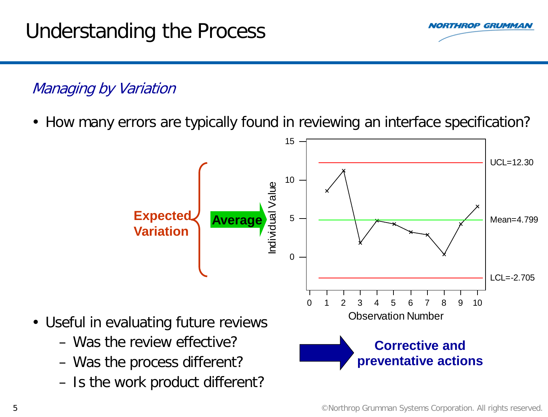

# Managing by Variation

• How many errors are typically found in reviewing an interface specification?

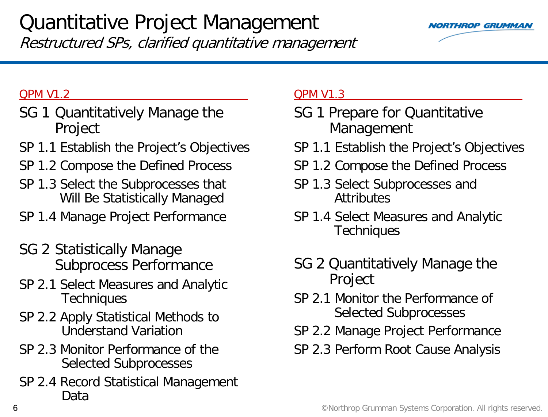# Quantitative Project Management Restructured SPs, clarified quantitative management



### QPM V1.2

- SG 1 Quantitatively Manage the Project
- SP 1.1 Establish the Project's Objectives
- SP 1.2 Compose the Defined Process
- SP 1.3 Select the Subprocesses that Will Be Statistically Managed
- SP 1.4 Manage Project Performance
- SG 2 Statistically Manage Subprocess Performance
- SP 2.1 Select Measures and Analytic **Techniques**
- SP 2.2 Apply Statistical Methods to Understand Variation
- SP 2.3 Monitor Performance of the Selected Subprocesses
- SP 2.4 Record Statistical Management Data

### QPM V1.3

- SG 1 Prepare for Quantitative Management
- SP 1.1 Establish the Project's Objectives
- SP 1.2 Compose the Defined Process
- SP 1.3 Select Subprocesses and **Attributes**
- SP 1.4 Select Measures and Analytic **Techniques**
- SG 2 Quantitatively Manage the Project
- SP 2.1 Monitor the Performance of Selected Subprocesses
- SP 2.2 Manage Project Performance
- SP 2.3 Perform Root Cause Analysis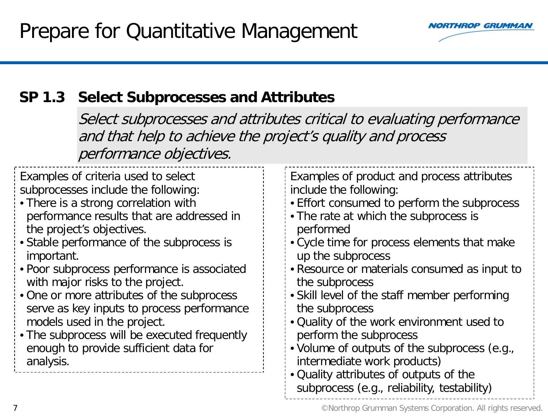

# **SP 1.3 Select Subprocesses and Attributes**

 Select subprocesses and attributes critical to evaluating performance and that help to achieve the project's quality and process performance objectives.

 subprocesses include the following: Examples of criteria used to select

- There is a strong correlation with performance results that are addressed in the project's objectives.
- Stable performance of the subprocess is important.
- Poor subprocess performance is associated with major risks to the project.
- One or more attributes of the subprocess serve as key inputs to process performance models used in the project.
- The subprocess will be executed frequently enough to provide sufficient data for analysis.

Examples of product and process attributes include the following:

- Effort consumed to perform the subprocess
- The rate at which the subprocess is performed
- Cycle time for process elements that make up the subprocess
- Resource or materials consumed as input to the subprocess
- Skill level of the staff member performing the subprocess
- Quality of the work environment used to perform the subprocess
- Volume of outputs of the subprocess (e.g., intermediate work products)
- Quality attributes of outputs of the subprocess (e.g., reliability, testability)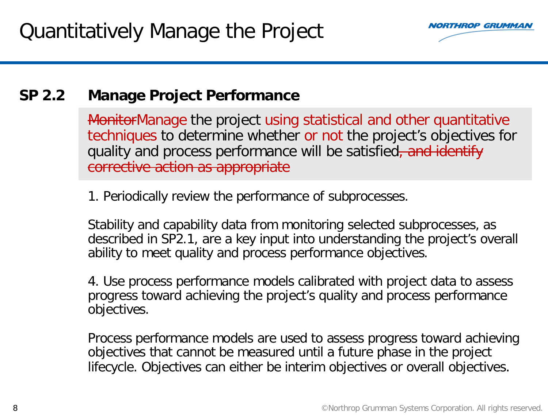

## **SP 2.2 Manage Project Performance**

MonitorManage the project using statistical and other quantitative techniques to determine whether or not the project's objectives for quality and process performance will be satisfied, and identify corrective action as appropriate

1. Periodically review the performance of subprocesses.

Stability and capability data from monitoring selected subprocesses, as described in SP2.1, are a key input into understanding the project's overall ability to meet quality and process performance objectives.

4. Use process performance models calibrated with project data to assess progress toward achieving the project's quality and process performance objectives.

Process performance models are used to assess progress toward achieving objectives that cannot be measured until a future phase in the project lifecycle. Objectives can either be interim objectives or overall objectives.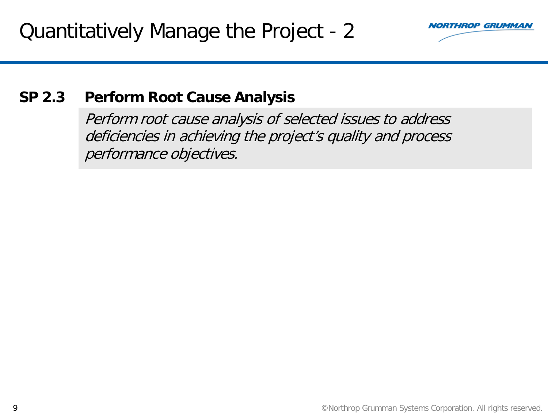

## **SP 2.3 Perform Root Cause Analysis**

Perform root cause analysis of selected issues to address deficiencies in achieving the project's quality and process performance objectives.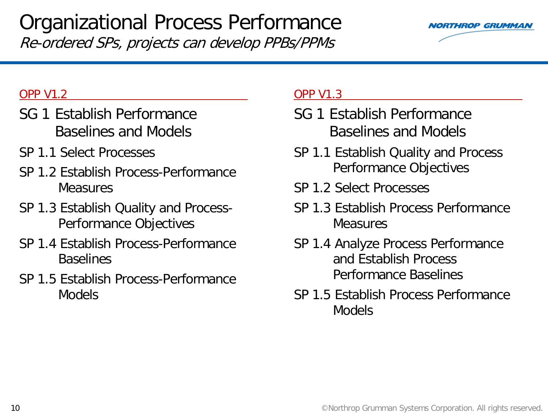

### OPP V1.2

- SG 1 Establish Performance Baselines and Models
- SP 1.1 Select Processes
- SP 1.2 Establish Process-Performance Measures
- SP 1.3 Establish Quality and Process-Performance Objectives
- SP 1.4 Establish Process-Performance Baselines
- SP 1.5 Establish Process-Performance Models

### OPP V1.3

- SG 1 Establish Performance Baselines and Models
- SP 1.1 Establish Quality and Process Performance Objectives
- SP 1.2 Select Processes
- SP 1.3 Establish Process Performance Measures
- SP 1.4 Analyze Process Performance and Establish Process Performance Baselines
- SP 1.5 Establish Process Performance Models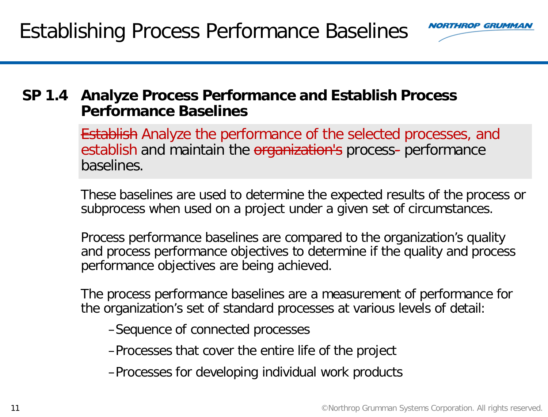

### The process performance baselines are a measurement of performance for the organization's set of standard processes at various levels of detail:

–Sequence of connected processes

–Processes that cover the entire life of the project

–Processes for developing individual work products

# Establishing Process Performance Baselines

## **SP 1.4 Analyze Process Performance and Establish Process Performance Baselines**

Establish Analyze the performance of the selected processes, and establish and maintain the organization's process- performance baselines.

subprocess when used on a project under a given set of circumstances.

These baselines are used to determine the expected results of the process or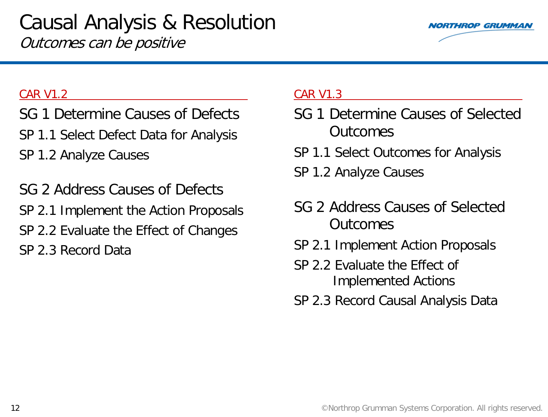# Causal Analysis & Resolution Outcomes can be positive



#### CAR V1.2

- SG 1 Determine Causes of Defects SP 1.1 Select Defect Data for Analysis SP 1.2 Analyze Causes
- SG 2 Address Causes of Defects SP 2.1 Implement the Action Proposals SP 2.2 Evaluate the Effect of Changes SP 2.3 Record Data

### CAR V1.3

- SG 1 Determine Causes of Selected Outcomes
- SP 1.1 Select Outcomes for Analysis
- SP 1.2 Analyze Causes
- SG 2 Address Causes of Selected Outcomes
- SP 2.1 Implement Action Proposals
- SP 2.2 Evaluate the Effect of Implemented Actions
- SP 2.3 Record Causal Analysis Data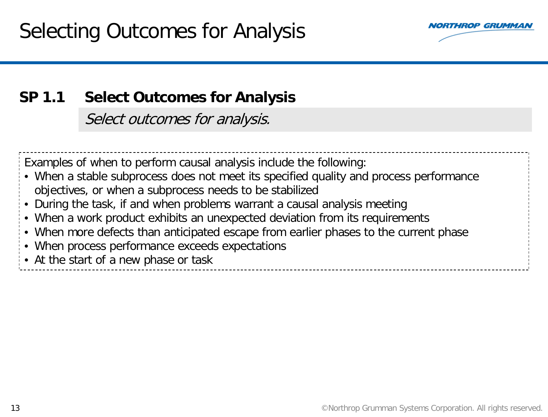

# **SP 1.1 Select Outcomes for Analysis**

Select outcomes for analysis.

Examples of when to perform causal analysis include the following:

- When a stable subprocess does not meet its specified quality and process performance objectives, or when a subprocess needs to be stabilized
- During the task, if and when problems warrant a causal analysis meeting
- When a work product exhibits an unexpected deviation from its requirements
- When more defects than anticipated escape from earlier phases to the current phase
- When process performance exceeds expectations
- At the start of a new phase or task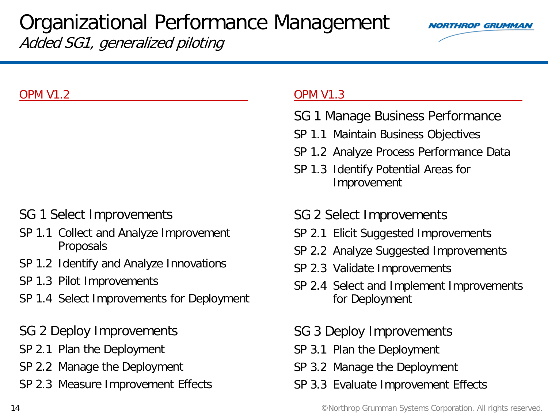# Organizational Performance Management Added SG1, generalized piloting



#### OPM V1.2

### SG 1 Select Improvements

- SP 1.1 Collect and Analyze Improvement Proposals
- SP 1.2 Identify and Analyze Innovations
- SP 1.3 Pilot Improvements
- SP 1.4 Select Improvements for Deployment
- SG 2 Deploy Improvements
- SP 2.1 Plan the Deployment
- SP 2.2 Manage the Deployment
- SP 2.3 Measure Improvement Effects

#### OPM V1.3

- SG 1 Manage Business Performance
- SP 1.1 Maintain Business Objectives
- SP 1.2 Analyze Process Performance Data
- SP 1.3 Identify Potential Areas for Improvement
- SG 2 Select Improvements
- SP 2.1 Elicit Suggested Improvements
- SP 2.2 Analyze Suggested Improvements
- SP 2.3 Validate Improvements
- SP 2.4 Select and Implement Improvements for Deployment
- SG 3 Deploy Improvements
- SP 3.1 Plan the Deployment
- SP 3.2 Manage the Deployment
- SP 3.3 Evaluate Improvement Effects

14 ©Northrop Grumman Systems Corporation. All rights reserved.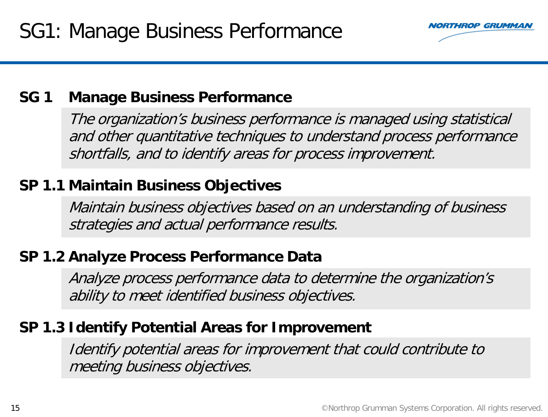

### **SG 1 Manage Business Performance**

 The organization's business performance is managed using statistical and other quantitative techniques to understand process performance shortfalls, and to identify areas for process improvement.

## **SP 1.1 Maintain Business Objectives**

 Maintain business objectives based on an understanding of business strategies and actual performance results.

### **SP 1.2 Analyze Process Performance Data**

 Analyze process performance data to determine the organization's ability to meet identified business objectives.

### **SP 1.3 Identify Potential Areas for Improvement**

 Identify potential areas for improvement that could contribute to meeting business objectives.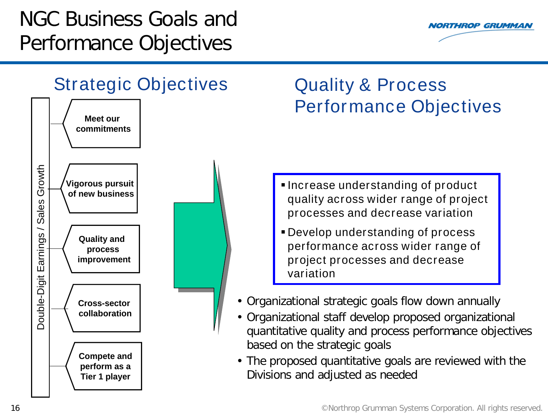NGC Business Goals and Performance Objectives

Ξ





# Quality & Process **Performance Objectives**

- Increase understanding of product quality across wider range of project processes and decrease variation
- Develop understanding of process performance across wider range of project processes and decrease variation
- Organizational strategic goals flow down annually
- Organizational staff develop proposed organizational quantitative quality and process performance objectives based on the strategic goals
- The proposed quantitative goals are reviewed with the Divisions and adjusted as needed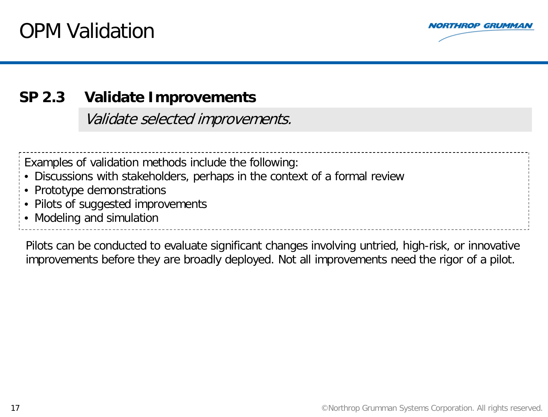

# **SP 2.3 Validate Improvements**

Validate selected improvements.

| Examples of validation methods include the following:                            |  |
|----------------------------------------------------------------------------------|--|
| $\cdot$ Discussions with stakeholders, perhaps in the context of a formal review |  |
| $\cdot$ Prototype demonstrations                                                 |  |
| • Pilots of suggested improvements                                               |  |
| $\sim$ Modeling and simulation                                                   |  |
|                                                                                  |  |

Pilots can be conducted to evaluate significant changes involving untried, high-risk, or innovative improvements before they are broadly deployed. Not all improvements need the rigor of a pilot.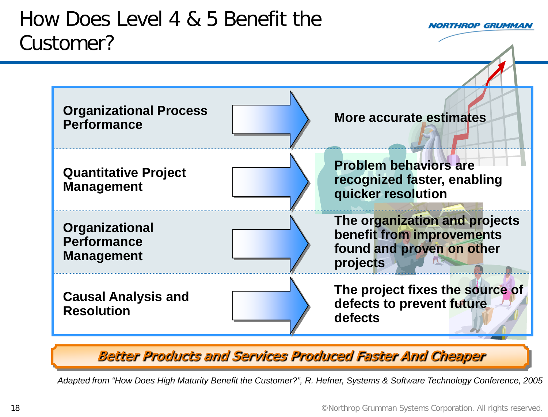

Better Products and Services Produced Faster And Cheaper

*Adapted from "How Does High Maturity Benefit the Customer?", R. Hefner, Systems & Software Technology Conference, 2005*